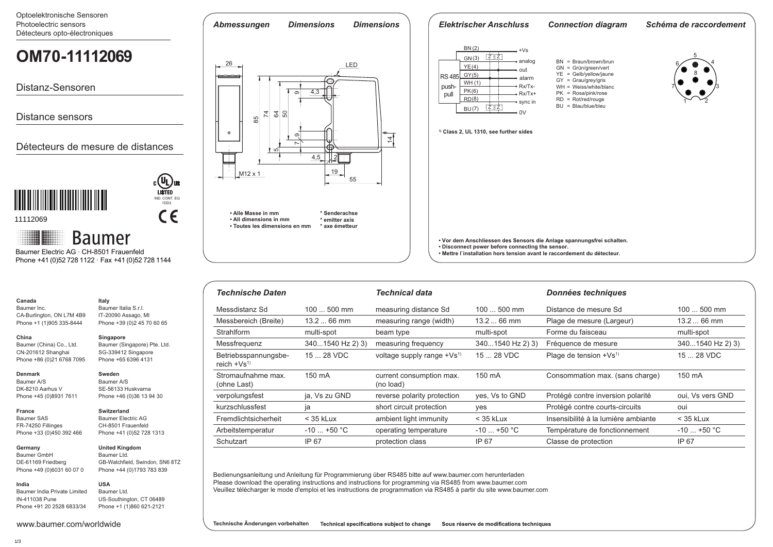Optoelektronische Sensoren Photoelectric sensors Détecteurs opto-électroniques

## *Abmessungen Dimensions Dimensions Elektrischer Anschluss Connection diagram Schéma de raccordement* <u>BN (2)</u>  $+Vs$ **OM70-X0150.HI0720.VI OM70-11112069**  $Z$ GN(3) 5 analog BN = Braun/brown/brun 26 LED 4 6 GN = Grün/green/vert <u>YE (4)</u> out YE = Gelb/yellow/jaune 8 **RS 485** <u>GY(5)</u> alarm GY = Grau/grey/gris WH (1) Distanz-Sensoren push Rx/Tx- WH = Weiss/white/blanc 3 7 4,3 (6) PK PK = Rosa/pink/rose **pull** Rx/Tx+ တ  $RD = Rot/red/rouge$ <u>RD(8)</u> sync in  $1^{\sim}$   $-2$  $BU = Blau/blue/bleu$  $\overline{z}$   $\overline{z}$ (7) BU 74  $\sim$ 64  $\frac{1}{20}$ Distance sensors  $\frac{1}{85}$ **1) Class 2, UL 1310, see further sides**  $\circ$ တ ्य Détecteurs de mesure de distances 757 4,5 2 П 19 M12 x 1 55 **i** IND. CONT. EQ 1DD2  $C \in$ **• Alle Masse in mm \* Senderachse** 11112069 **\* emitter axis • All dimensions in mm • Toutes les dimensions en mm \* axe émetteur Baumer • Vor dem Anschliessen des Sensors die Anlage spannungsfrei schalten. • Disconnect power before connecting the sensor.**  Baumer Electric AG · CH-8501 Frauenfeld **• Mettre l`installation hors tension avant le raccordement du détecteur.** Phone +41 (0)52 728 1122 · Fax +41 (0)52 728 1144

| <b>Technische Daten</b>                 |                  | <b>Technical data</b>                 |                  | Données techniques                  |                  |
|-----------------------------------------|------------------|---------------------------------------|------------------|-------------------------------------|------------------|
| Messdistanz Sd                          | $100500$ mm      | measuring distance Sd                 | $100500$ mm      | Distance de mesure Sd               | $100500$ mm      |
| Messbereich (Breite)                    | $13.266$ mm      | measuring range (width)               | $13.266$ mm      | Plage de mesure (Largeur)           | $13.266$ mm      |
| Strahlform                              | multi-spot       | beam type                             | multi-spot       | Forme du faisceau                   | multi-spot       |
| Messfrequenz                            | 3401540 Hz 2) 3) | measuring frequency                   | 3401540 Hz 2) 3) | Fréquence de mesure                 | 3401540 Hz 2) 3) |
| Betriebsspannungsbe-<br>reich $+Vs^{1}$ | 15  28 VDC       | voltage supply range $+Vs^{(1)}$      | 15  28 VDC       | Plage de tension +Vs <sup>1)</sup>  | 15  28 VDC       |
| Stromaufnahme max.<br>(ohne Last)       | 150 mA           | current consumption max.<br>(no load) | 150 mA           | Consommation max. (sans charge)     | 150 mA           |
| verpolungsfest                          | ja, Vs zu GND    | reverse polarity protection           | yes, Vs to GND   | Protégé contre inversion polarité   | oui. Vs vers GND |
| kurzschlussfest                         | ia               | short circuit protection              | yes              | Protégé contre courts-circuits      | oui              |
| Fremdlichtsicherheit                    | $<$ 35 kLux      | ambient light immunity                | $<$ 35 kLux      | Insensibilité à la lumière ambiante | $<$ 35 kLux      |
| Arbeitstemperatur                       | $-10$ +50 °C     | operating temperature                 | $-10$ +50 °C     | Température de fonctionnement       | $-10$ +50 °C     |
| Schutzart                               | IP 67            | protection class                      | IP 67            | Classe de protection                | IP 67            |

Bedienungsanleitung und Anleitung für Programmierung über RS485 bitte auf www.baumer.com herunterladen Please download the operating instructions and instructions for programming via RS485 from www.baumer.com Veuillez télécharger le mode d'emploi et les instructions de programmation via RS485 à partir du site www.baumer.com

**India** Baumer India Private Limited IN-411038 Pune Phone +91 20 2528 6833/34

**Technische Änderungen vorbehalten** Technical specifications subject to change Sous réserve de modifications techniques

**Canada** Baumer Inc.

**China** 

**Denmark** Baumer A/S DK-8210 Aarhus V Phone +45 (0)8931 7611

**France** Baumer SAS FR-74250 Fillinges Phone +33 (0)450 392 466

**Germany**  Baumer GmbH DE-61169 Friedberg Phone +49 (0)6031 60 07 0

CA-Burlington, ON L7M 4B9 Phone +1 (1)905 335-8444

**Italy**

Baumer Italia S.r.l. IT-20090 Assago, MI Phone +39 (0)2 45 70 60 65

Baumer (Singapore) Pte. Ltd. SG-339412 Singapore Phone +65 6396 4131

**Singapore**

**Sweden** Baumer A/S SE-56133 Huskvarna Phone +46 (0)36 13 94 30

**Switzerland** Baumer Electric AG CH-8501 Frauenfeld Phone +41 (0)52 728 1313

**United Kingdom** Baumer Ltd.

**USA** Baumer Ltd.

GB-Watchfield, Swindon, SN6 8TZ Phone +44 (0)1793 783 839

US-Southington, CT 06489 Phone +1 (1)860 621-2121

Baumer (China) Co., Ltd. CN-201612 Shanghai Phone +86 (0)21 6768 7095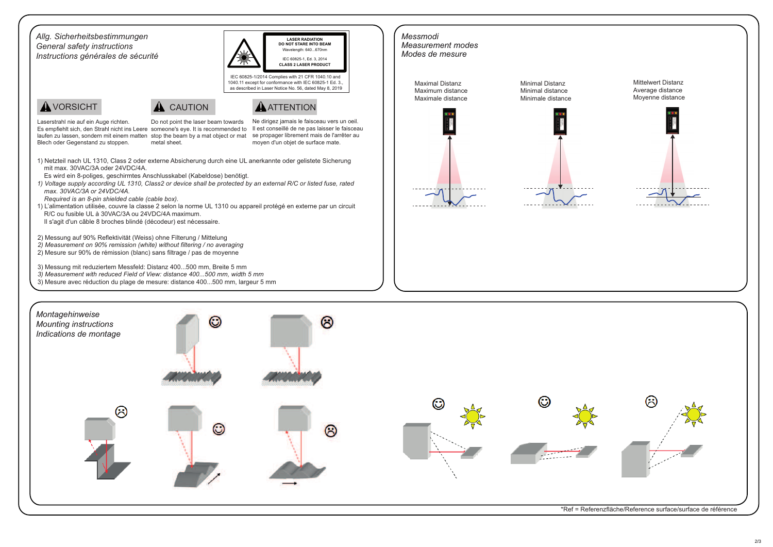